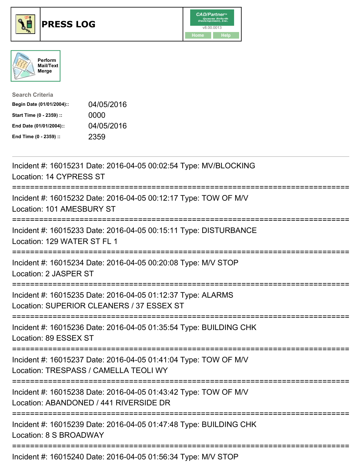





| <b>Search Criteria</b>    |            |
|---------------------------|------------|
| Begin Date (01/01/2004):: | 04/05/2016 |
| Start Time (0 - 2359) ::  | 0000       |
| End Date (01/01/2004)::   | 04/05/2016 |
| End Time (0 - 2359) ::    | 2359       |

| Incident #: 16015231 Date: 2016-04-05 00:02:54 Type: MV/BLOCKING<br>Location: 14 CYPRESS ST                                                  |
|----------------------------------------------------------------------------------------------------------------------------------------------|
| Incident #: 16015232 Date: 2016-04-05 00:12:17 Type: TOW OF M/V<br>Location: 101 AMESBURY ST                                                 |
| Incident #: 16015233 Date: 2016-04-05 00:15:11 Type: DISTURBANCE<br>Location: 129 WATER ST FL 1                                              |
| Incident #: 16015234 Date: 2016-04-05 00:20:08 Type: M/V STOP<br>Location: 2 JASPER ST                                                       |
| Incident #: 16015235 Date: 2016-04-05 01:12:37 Type: ALARMS<br>Location: SUPERIOR CLEANERS / 37 ESSEX ST<br>================================ |
| Incident #: 16015236 Date: 2016-04-05 01:35:54 Type: BUILDING CHK<br>Location: 89 ESSEX ST                                                   |
| Incident #: 16015237 Date: 2016-04-05 01:41:04 Type: TOW OF M/V<br>Location: TRESPASS / CAMELLA TEOLI WY<br>--------------------------       |
| Incident #: 16015238 Date: 2016-04-05 01:43:42 Type: TOW OF M/V<br>Location: ABANDONED / 441 RIVERSIDE DR                                    |
| =======================<br>Incident #: 16015239 Date: 2016-04-05 01:47:48 Type: BUILDING CHK<br>Location: 8 S BROADWAY                       |
| Incident #: 16015240 Date: 2016-04-05 01:56:34 Type: M/V STOP                                                                                |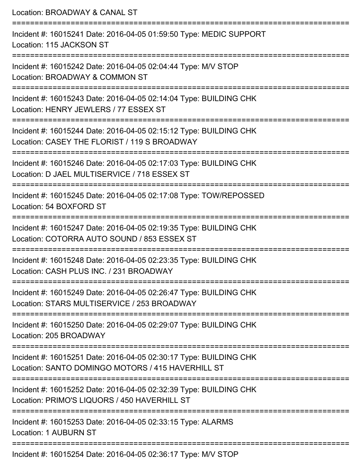Location: BROADWAY & CANAL ST =========================================================================== Incident #: 16015241 Date: 2016-04-05 01:59:50 Type: MEDIC SUPPORT Location: 115 JACKSON ST =========================================================================== Incident #: 16015242 Date: 2016-04-05 02:04:44 Type: M/V STOP Location: BROADWAY & COMMON ST =========================================================================== Incident #: 16015243 Date: 2016-04-05 02:14:04 Type: BUILDING CHK Location: HENRY JEWLERS / 77 ESSEX ST =========================================================================== Incident #: 16015244 Date: 2016-04-05 02:15:12 Type: BUILDING CHK Location: CASEY THE FLORIST / 119 S BROADWAY ======================= Incident #: 16015246 Date: 2016-04-05 02:17:03 Type: BUILDING CHK Location: D JAEL MULTISERVICE / 718 ESSEX ST =========================================================================== Incident #: 16015245 Date: 2016-04-05 02:17:08 Type: TOW/REPOSSED Location: 54 BOXFORD ST =========================================================================== Incident #: 16015247 Date: 2016-04-05 02:19:35 Type: BUILDING CHK Location: COTORRA AUTO SOUND / 853 ESSEX ST =========================================================================== Incident #: 16015248 Date: 2016-04-05 02:23:35 Type: BUILDING CHK Location: CASH PLUS INC. / 231 BROADWAY =========================================================================== Incident #: 16015249 Date: 2016-04-05 02:26:47 Type: BUILDING CHK Location: STARS MULTISERVICE / 253 BROADWAY =========================================================================== Incident #: 16015250 Date: 2016-04-05 02:29:07 Type: BUILDING CHK Location: 205 BROADWAY =========================================================================== Incident #: 16015251 Date: 2016-04-05 02:30:17 Type: BUILDING CHK Location: SANTO DOMINGO MOTORS / 415 HAVERHILL ST =========================================================================== Incident #: 16015252 Date: 2016-04-05 02:32:39 Type: BUILDING CHK Location: PRIMO'S LIQUORS / 450 HAVERHILL ST =========================================================================== Incident #: 16015253 Date: 2016-04-05 02:33:15 Type: ALARMS Location: 1 AUBURN ST =========================================================================== Incident #: 16015254 Date: 2016-04-05 02:36:17 Type: M/V STOP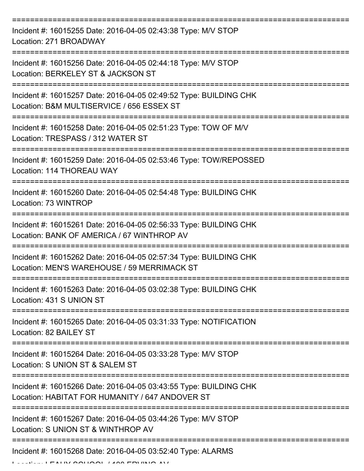| Incident #: 16015255 Date: 2016-04-05 02:43:38 Type: M/V STOP<br>Location: 271 BROADWAY                                           |
|-----------------------------------------------------------------------------------------------------------------------------------|
| Incident #: 16015256 Date: 2016-04-05 02:44:18 Type: M/V STOP<br>Location: BERKELEY ST & JACKSON ST                               |
| Incident #: 16015257 Date: 2016-04-05 02:49:52 Type: BUILDING CHK<br>Location: B&M MULTISERVICE / 656 ESSEX ST<br>:============== |
| Incident #: 16015258 Date: 2016-04-05 02:51:23 Type: TOW OF M/V<br>Location: TRESPASS / 312 WATER ST                              |
| Incident #: 16015259 Date: 2016-04-05 02:53:46 Type: TOW/REPOSSED<br>Location: 114 THOREAU WAY                                    |
| Incident #: 16015260 Date: 2016-04-05 02:54:48 Type: BUILDING CHK<br>Location: 73 WINTROP<br>-------------------                  |
| Incident #: 16015261 Date: 2016-04-05 02:56:33 Type: BUILDING CHK<br>Location: BANK OF AMERICA / 67 WINTHROP AV                   |
| Incident #: 16015262 Date: 2016-04-05 02:57:34 Type: BUILDING CHK<br>Location: MEN'S WAREHOUSE / 59 MERRIMACK ST                  |
| Incident #: 16015263 Date: 2016-04-05 03:02:38 Type: BUILDING CHK<br>Location: 431 S UNION ST                                     |
| Incident #: 16015265 Date: 2016-04-05 03:31:33 Type: NOTIFICATION<br>Location: 82 BAILEY ST                                       |
| Incident #: 16015264 Date: 2016-04-05 03:33:28 Type: M/V STOP<br>Location: S UNION ST & SALEM ST                                  |
| Incident #: 16015266 Date: 2016-04-05 03:43:55 Type: BUILDING CHK<br>Location: HABITAT FOR HUMANITY / 647 ANDOVER ST              |
| Incident #: 16015267 Date: 2016-04-05 03:44:26 Type: M/V STOP<br>Location: S UNION ST & WINTHROP AV                               |
| Incident #: 16015268 Date: 2016-04-05 03:52:40 Type: ALARMS                                                                       |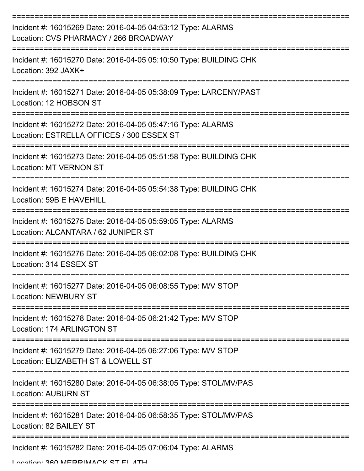| Incident #: 16015269 Date: 2016-04-05 04:53:12 Type: ALARMS<br>Location: CVS PHARMACY / 266 BROADWAY     |
|----------------------------------------------------------------------------------------------------------|
| Incident #: 16015270 Date: 2016-04-05 05:10:50 Type: BUILDING CHK<br>Location: 392 JAXK+                 |
| Incident #: 16015271 Date: 2016-04-05 05:38:09 Type: LARCENY/PAST<br>Location: 12 HOBSON ST              |
| Incident #: 16015272 Date: 2016-04-05 05:47:16 Type: ALARMS<br>Location: ESTRELLA OFFICES / 300 ESSEX ST |
| Incident #: 16015273 Date: 2016-04-05 05:51:58 Type: BUILDING CHK<br><b>Location: MT VERNON ST</b>       |
| Incident #: 16015274 Date: 2016-04-05 05:54:38 Type: BUILDING CHK<br>Location: 59B E HAVEHILL            |
| Incident #: 16015275 Date: 2016-04-05 05:59:05 Type: ALARMS<br>Location: ALCANTARA / 62 JUNIPER ST       |
| Incident #: 16015276 Date: 2016-04-05 06:02:08 Type: BUILDING CHK<br>Location: 314 ESSEX ST              |
| Incident #: 16015277 Date: 2016-04-05 06:08:55 Type: M/V STOP<br><b>Location: NEWBURY ST</b>             |
| Incident #: 16015278 Date: 2016-04-05 06:21:42 Type: M/V STOP<br>Location: 174 ARLINGTON ST              |
| Incident #: 16015279 Date: 2016-04-05 06:27:06 Type: M/V STOP<br>Location: ELIZABETH ST & LOWELL ST      |
| Incident #: 16015280 Date: 2016-04-05 06:38:05 Type: STOL/MV/PAS<br><b>Location: AUBURN ST</b>           |
| Incident #: 16015281 Date: 2016-04-05 06:58:35 Type: STOL/MV/PAS<br>Location: 82 BAILEY ST               |
| Incident #: 16015282 Date: 2016-04-05 07:06:04 Type: ALARMS<br>Location: 280 MEDDIMACK CT EL ATH         |
|                                                                                                          |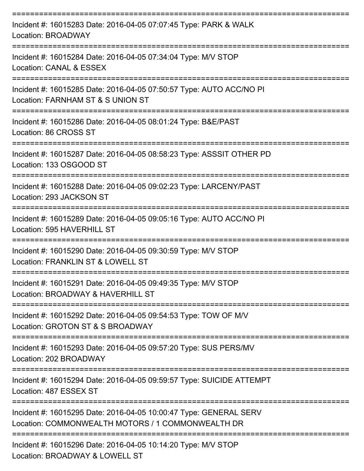| Incident #: 16015283 Date: 2016-04-05 07:07:45 Type: PARK & WALK<br>Location: BROADWAY                                 |
|------------------------------------------------------------------------------------------------------------------------|
| Incident #: 16015284 Date: 2016-04-05 07:34:04 Type: M/V STOP<br>Location: CANAL & ESSEX                               |
| Incident #: 16015285 Date: 2016-04-05 07:50:57 Type: AUTO ACC/NO PI<br>Location: FARNHAM ST & S UNION ST               |
| Incident #: 16015286 Date: 2016-04-05 08:01:24 Type: B&E/PAST<br>Location: 86 CROSS ST                                 |
| Incident #: 16015287 Date: 2016-04-05 08:58:23 Type: ASSSIT OTHER PD<br>Location: 133 OSGOOD ST                        |
| Incident #: 16015288 Date: 2016-04-05 09:02:23 Type: LARCENY/PAST<br>Location: 293 JACKSON ST                          |
| Incident #: 16015289 Date: 2016-04-05 09:05:16 Type: AUTO ACC/NO PI<br>Location: 595 HAVERHILL ST                      |
| Incident #: 16015290 Date: 2016-04-05 09:30:59 Type: M/V STOP<br>Location: FRANKLIN ST & LOWELL ST                     |
| Incident #: 16015291 Date: 2016-04-05 09:49:35 Type: M/V STOP<br>Location: BROADWAY & HAVERHILL ST                     |
| Incident #: 16015292 Date: 2016-04-05 09:54:53 Type: TOW OF M/V<br>Location: GROTON ST & S BROADWAY                    |
| Incident #: 16015293 Date: 2016-04-05 09:57:20 Type: SUS PERS/MV<br>Location: 202 BROADWAY                             |
| Incident #: 16015294 Date: 2016-04-05 09:59:57 Type: SUICIDE ATTEMPT<br>Location: 487 ESSEX ST                         |
| Incident #: 16015295 Date: 2016-04-05 10:00:47 Type: GENERAL SERV<br>Location: COMMONWEALTH MOTORS / 1 COMMONWEALTH DR |
| Incident #: 16015296 Date: 2016-04-05 10:14:20 Type: M/V STOP<br>Location: BROADWAY & LOWELL ST                        |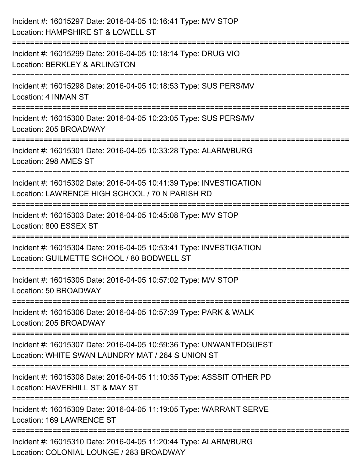| Incident #: 16015297 Date: 2016-04-05 10:16:41 Type: M/V STOP<br>Location: HAMPSHIRE ST & LOWELL ST                                            |
|------------------------------------------------------------------------------------------------------------------------------------------------|
| ====================<br>Incident #: 16015299 Date: 2016-04-05 10:18:14 Type: DRUG VIO<br>Location: BERKLEY & ARLINGTON                         |
| Incident #: 16015298 Date: 2016-04-05 10:18:53 Type: SUS PERS/MV<br>Location: 4 INMAN ST<br>=========================                          |
| Incident #: 16015300 Date: 2016-04-05 10:23:05 Type: SUS PERS/MV<br>Location: 205 BROADWAY                                                     |
| Incident #: 16015301 Date: 2016-04-05 10:33:28 Type: ALARM/BURG<br>Location: 298 AMES ST                                                       |
| Incident #: 16015302 Date: 2016-04-05 10:41:39 Type: INVESTIGATION<br>Location: LAWRENCE HIGH SCHOOL / 70 N PARISH RD<br>:==================== |
| Incident #: 16015303 Date: 2016-04-05 10:45:08 Type: M/V STOP<br>Location: 800 ESSEX ST                                                        |
| Incident #: 16015304 Date: 2016-04-05 10:53:41 Type: INVESTIGATION<br>Location: GUILMETTE SCHOOL / 80 BODWELL ST                               |
| Incident #: 16015305 Date: 2016-04-05 10:57:02 Type: M/V STOP<br>Location: 50 BROADWAY                                                         |
| Incident #: 16015306 Date: 2016-04-05 10:57:39 Type: PARK & WALK<br>Location: 205 BROADWAY                                                     |
| Incident #: 16015307 Date: 2016-04-05 10:59:36 Type: UNWANTEDGUEST<br>Location: WHITE SWAN LAUNDRY MAT / 264 S UNION ST                        |
| Incident #: 16015308 Date: 2016-04-05 11:10:35 Type: ASSSIT OTHER PD<br>Location: HAVERHILL ST & MAY ST                                        |
| Incident #: 16015309 Date: 2016-04-05 11:19:05 Type: WARRANT SERVE<br>Location: 169 LAWRENCE ST                                                |
| Incident #: 16015310 Date: 2016-04-05 11:20:44 Type: ALARM/BURG<br>Location: COLONIAL LOUNGE / 283 BROADWAY                                    |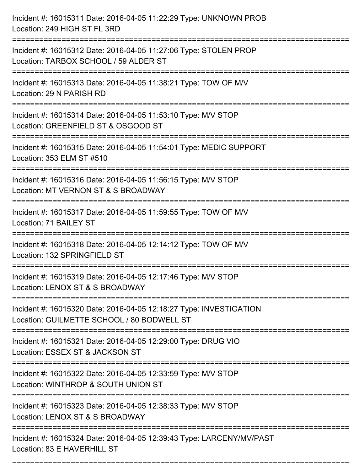| Incident #: 16015311 Date: 2016-04-05 11:22:29 Type: UNKNOWN PROB<br>Location: 249 HIGH ST FL 3RD                |
|------------------------------------------------------------------------------------------------------------------|
| Incident #: 16015312 Date: 2016-04-05 11:27:06 Type: STOLEN PROP<br>Location: TARBOX SCHOOL / 59 ALDER ST        |
| Incident #: 16015313 Date: 2016-04-05 11:38:21 Type: TOW OF M/V<br>Location: 29 N PARISH RD                      |
| Incident #: 16015314 Date: 2016-04-05 11:53:10 Type: M/V STOP<br>Location: GREENFIELD ST & OSGOOD ST             |
| Incident #: 16015315 Date: 2016-04-05 11:54:01 Type: MEDIC SUPPORT<br>Location: 353 ELM ST #510                  |
| Incident #: 16015316 Date: 2016-04-05 11:56:15 Type: M/V STOP<br>Location: MT VERNON ST & S BROADWAY             |
| Incident #: 16015317 Date: 2016-04-05 11:59:55 Type: TOW OF M/V<br>Location: 71 BAILEY ST                        |
| Incident #: 16015318 Date: 2016-04-05 12:14:12 Type: TOW OF M/V<br>Location: 132 SPRINGFIELD ST                  |
| Incident #: 16015319 Date: 2016-04-05 12:17:46 Type: M/V STOP<br>Location: LENOX ST & S BROADWAY                 |
| Incident #: 16015320 Date: 2016-04-05 12:18:27 Type: INVESTIGATION<br>Location: GUILMETTE SCHOOL / 80 BODWELL ST |
| Incident #: 16015321 Date: 2016-04-05 12:29:00 Type: DRUG VIO<br>Location: ESSEX ST & JACKSON ST                 |
| Incident #: 16015322 Date: 2016-04-05 12:33:59 Type: M/V STOP<br>Location: WINTHROP & SOUTH UNION ST             |
| Incident #: 16015323 Date: 2016-04-05 12:38:33 Type: M/V STOP<br>Location: LENOX ST & S BROADWAY                 |
| Incident #: 16015324 Date: 2016-04-05 12:39:43 Type: LARCENY/MV/PAST<br>Location: 83 E HAVERHILL ST              |

===========================================================================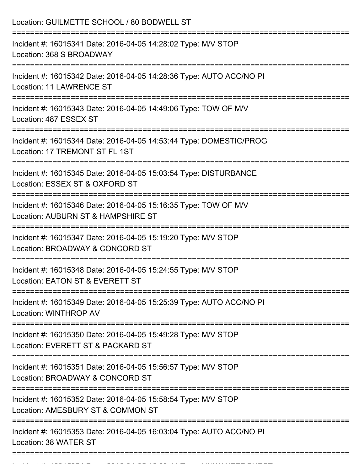| Location: GUILMETTE SCHOOL / 80 BODWELL ST                                                                                    |
|-------------------------------------------------------------------------------------------------------------------------------|
| Incident #: 16015341 Date: 2016-04-05 14:28:02 Type: M/V STOP<br>Location: 368 S BROADWAY<br>:=============================== |
| Incident #: 16015342 Date: 2016-04-05 14:28:36 Type: AUTO ACC/NO PI<br>Location: 11 LAWRENCE ST<br>:==============            |
| Incident #: 16015343 Date: 2016-04-05 14:49:06 Type: TOW OF M/V<br>Location: 487 ESSEX ST<br>==============================   |
| Incident #: 16015344 Date: 2016-04-05 14:53:44 Type: DOMESTIC/PROG<br>Location: 17 TREMONT ST FL 1ST                          |
| Incident #: 16015345 Date: 2016-04-05 15:03:54 Type: DISTURBANCE<br>Location: ESSEX ST & OXFORD ST                            |
| Incident #: 16015346 Date: 2016-04-05 15:16:35 Type: TOW OF M/V<br>Location: AUBURN ST & HAMPSHIRE ST                         |
| Incident #: 16015347 Date: 2016-04-05 15:19:20 Type: M/V STOP<br>Location: BROADWAY & CONCORD ST                              |
| Incident #: 16015348 Date: 2016-04-05 15:24:55 Type: M/V STOP<br>Location: EATON ST & EVERETT ST                              |
| Incident #: 16015349 Date: 2016-04-05 15:25:39 Type: AUTO ACC/NO PI<br>Location: WINTHROP AV                                  |
| Incident #: 16015350 Date: 2016-04-05 15:49:28 Type: M/V STOP<br>Location: EVERETT ST & PACKARD ST                            |
| Incident #: 16015351 Date: 2016-04-05 15:56:57 Type: M/V STOP<br>Location: BROADWAY & CONCORD ST                              |
| Incident #: 16015352 Date: 2016-04-05 15:58:54 Type: M/V STOP<br>Location: AMESBURY ST & COMMON ST                            |
| Incident #: 16015353 Date: 2016-04-05 16:03:04 Type: AUTO ACC/NO PI<br>Location: 38 WATER ST                                  |

Incident #: 16015354 Date: 2016 04 05 16:03:45 Date: UNWANTEDGUEST @ 1605<br>.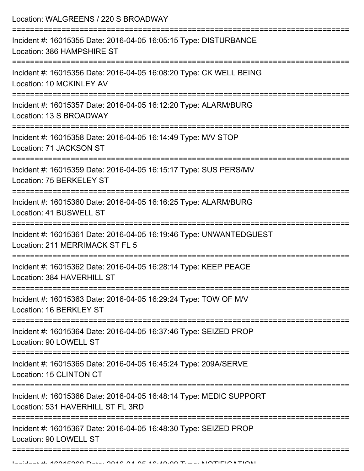Location: WALGREENS / 220 S BROADWAY

| Incident #: 16015355 Date: 2016-04-05 16:05:15 Type: DISTURBANCE<br>Location: 386 HAMPSHIRE ST                 |
|----------------------------------------------------------------------------------------------------------------|
| Incident #: 16015356 Date: 2016-04-05 16:08:20 Type: CK WELL BEING<br>Location: 10 MCKINLEY AV                 |
| Incident #: 16015357 Date: 2016-04-05 16:12:20 Type: ALARM/BURG<br>Location: 13 S BROADWAY                     |
| Incident #: 16015358 Date: 2016-04-05 16:14:49 Type: M/V STOP<br>Location: 71 JACKSON ST<br>------------------ |
| Incident #: 16015359 Date: 2016-04-05 16:15:17 Type: SUS PERS/MV<br>Location: 75 BERKELEY ST                   |
| Incident #: 16015360 Date: 2016-04-05 16:16:25 Type: ALARM/BURG<br>Location: 41 BUSWELL ST                     |
| Incident #: 16015361 Date: 2016-04-05 16:19:46 Type: UNWANTEDGUEST<br>Location: 211 MERRIMACK ST FL 5          |
| Incident #: 16015362 Date: 2016-04-05 16:28:14 Type: KEEP PEACE<br>Location: 384 HAVERHILL ST                  |
| Incident #: 16015363 Date: 2016-04-05 16:29:24 Type: TOW OF M/V<br>Location: 16 BERKLEY ST                     |
| Incident #: 16015364 Date: 2016-04-05 16:37:46 Type: SEIZED PROP<br>Location: 90 LOWELL ST                     |
| Incident #: 16015365 Date: 2016-04-05 16:45:24 Type: 209A/SERVE<br>Location: 15 CLINTON CT                     |
| Incident #: 16015366 Date: 2016-04-05 16:48:14 Type: MEDIC SUPPORT<br>Location: 531 HAVERHILL ST FL 3RD        |
| Incident #: 16015367 Date: 2016-04-05 16:48:30 Type: SEIZED PROP<br>Location: 90 LOWELL ST                     |
|                                                                                                                |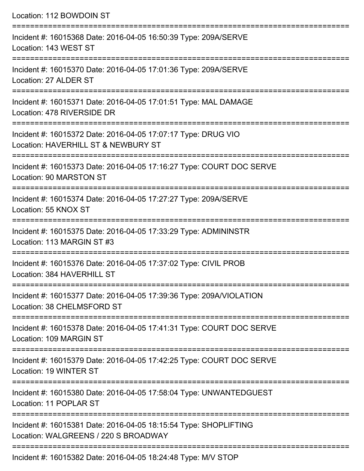| Location: 112 BOWDOIN ST                                                                                                            |
|-------------------------------------------------------------------------------------------------------------------------------------|
| Incident #: 16015368 Date: 2016-04-05 16:50:39 Type: 209A/SERVE<br>Location: 143 WEST ST<br>====================================    |
| Incident #: 16015370 Date: 2016-04-05 17:01:36 Type: 209A/SERVE<br>Location: 27 ALDER ST                                            |
| Incident #: 16015371 Date: 2016-04-05 17:01:51 Type: MAL DAMAGE<br>Location: 478 RIVERSIDE DR                                       |
| Incident #: 16015372 Date: 2016-04-05 17:07:17 Type: DRUG VIO<br>Location: HAVERHILL ST & NEWBURY ST                                |
| Incident #: 16015373 Date: 2016-04-05 17:16:27 Type: COURT DOC SERVE<br>Location: 90 MARSTON ST<br>-------------------------------- |
| Incident #: 16015374 Date: 2016-04-05 17:27:27 Type: 209A/SERVE<br>Location: 55 KNOX ST                                             |
| Incident #: 16015375 Date: 2016-04-05 17:33:29 Type: ADMININSTR<br>Location: 113 MARGIN ST #3                                       |
| Incident #: 16015376 Date: 2016-04-05 17:37:02 Type: CIVIL PROB<br>Location: 384 HAVERHILL ST                                       |
| ====================<br>Incident #: 16015377 Date: 2016-04-05 17:39:36 Type: 209A/VIOLATION<br>Location: 38 CHELMSFORD ST           |
| Incident #: 16015378 Date: 2016-04-05 17:41:31 Type: COURT DOC SERVE<br>Location: 109 MARGIN ST                                     |
| Incident #: 16015379 Date: 2016-04-05 17:42:25 Type: COURT DOC SERVE<br>Location: 19 WINTER ST                                      |
| Incident #: 16015380 Date: 2016-04-05 17:58:04 Type: UNWANTEDGUEST<br>Location: 11 POPLAR ST                                        |
| Incident #: 16015381 Date: 2016-04-05 18:15:54 Type: SHOPLIFTING<br>Location: WALGREENS / 220 S BROADWAY                            |
|                                                                                                                                     |

Incident #: 16015382 Date: 2016-04-05 18:24:48 Type: M/V STOP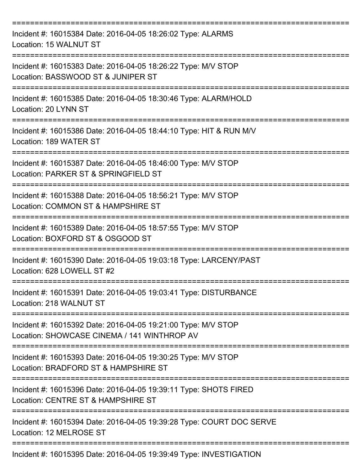| Incident #: 16015384 Date: 2016-04-05 18:26:02 Type: ALARMS<br>Location: 15 WALNUT ST                        |
|--------------------------------------------------------------------------------------------------------------|
| Incident #: 16015383 Date: 2016-04-05 18:26:22 Type: M/V STOP<br>Location: BASSWOOD ST & JUNIPER ST          |
| Incident #: 16015385 Date: 2016-04-05 18:30:46 Type: ALARM/HOLD<br>Location: 20 LYNN ST                      |
| Incident #: 16015386 Date: 2016-04-05 18:44:10 Type: HIT & RUN M/V<br>Location: 189 WATER ST                 |
| Incident #: 16015387 Date: 2016-04-05 18:46:00 Type: M/V STOP<br>Location: PARKER ST & SPRINGFIELD ST        |
| Incident #: 16015388 Date: 2016-04-05 18:56:21 Type: M/V STOP<br>Location: COMMON ST & HAMPSHIRE ST          |
| Incident #: 16015389 Date: 2016-04-05 18:57:55 Type: M/V STOP<br>Location: BOXFORD ST & OSGOOD ST            |
| Incident #: 16015390 Date: 2016-04-05 19:03:18 Type: LARCENY/PAST<br>Location: 628 LOWELL ST #2              |
| Incident #: 16015391 Date: 2016-04-05 19:03:41 Type: DISTURBANCE<br>Location: 218 WALNUT ST                  |
| Incident #: 16015392 Date: 2016-04-05 19:21:00 Type: M/V STOP<br>Location: SHOWCASE CINEMA / 141 WINTHROP AV |
| Incident #: 16015393 Date: 2016-04-05 19:30:25 Type: M/V STOP<br>Location: BRADFORD ST & HAMPSHIRE ST        |
| Incident #: 16015396 Date: 2016-04-05 19:39:11 Type: SHOTS FIRED<br>Location: CENTRE ST & HAMPSHIRE ST       |
| Incident #: 16015394 Date: 2016-04-05 19:39:28 Type: COURT DOC SERVE<br>Location: 12 MELROSE ST              |
| Incident #: 16015395 Date: 2016-04-05 19:39:49 Type: INVESTIGATION                                           |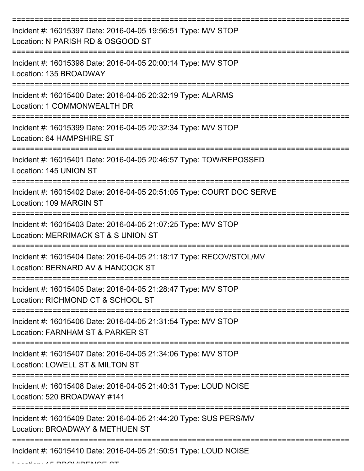| Incident #: 16015397 Date: 2016-04-05 19:56:51 Type: M/V STOP<br>Location: N PARISH RD & OSGOOD ST                         |
|----------------------------------------------------------------------------------------------------------------------------|
| Incident #: 16015398 Date: 2016-04-05 20:00:14 Type: M/V STOP<br>Location: 135 BROADWAY                                    |
| Incident #: 16015400 Date: 2016-04-05 20:32:19 Type: ALARMS<br>Location: 1 COMMONWEALTH DR                                 |
| Incident #: 16015399 Date: 2016-04-05 20:32:34 Type: M/V STOP<br>Location: 64 HAMPSHIRE ST                                 |
| Incident #: 16015401 Date: 2016-04-05 20:46:57 Type: TOW/REPOSSED<br>Location: 145 UNION ST                                |
| Incident #: 16015402 Date: 2016-04-05 20:51:05 Type: COURT DOC SERVE<br>Location: 109 MARGIN ST<br>======================= |
| Incident #: 16015403 Date: 2016-04-05 21:07:25 Type: M/V STOP<br>Location: MERRIMACK ST & S UNION ST                       |
| Incident #: 16015404 Date: 2016-04-05 21:18:17 Type: RECOV/STOL/MV<br>Location: BERNARD AV & HANCOCK ST                    |
| Incident #: 16015405 Date: 2016-04-05 21:28:47 Type: M/V STOP<br>Location: RICHMOND CT & SCHOOL ST                         |
| Incident #: 16015406 Date: 2016-04-05 21:31:54 Type: M/V STOP<br>Location: FARNHAM ST & PARKER ST                          |
| Incident #: 16015407 Date: 2016-04-05 21:34:06 Type: M/V STOP<br>Location: LOWELL ST & MILTON ST                           |
| Incident #: 16015408 Date: 2016-04-05 21:40:31 Type: LOUD NOISE<br>Location: 520 BROADWAY #141                             |
| Incident #: 16015409 Date: 2016-04-05 21:44:20 Type: SUS PERS/MV<br>Location: BROADWAY & METHUEN ST                        |
| Incident #: 16015410 Date: 2016-04-05 21:50:51 Type: LOUD NOISE                                                            |